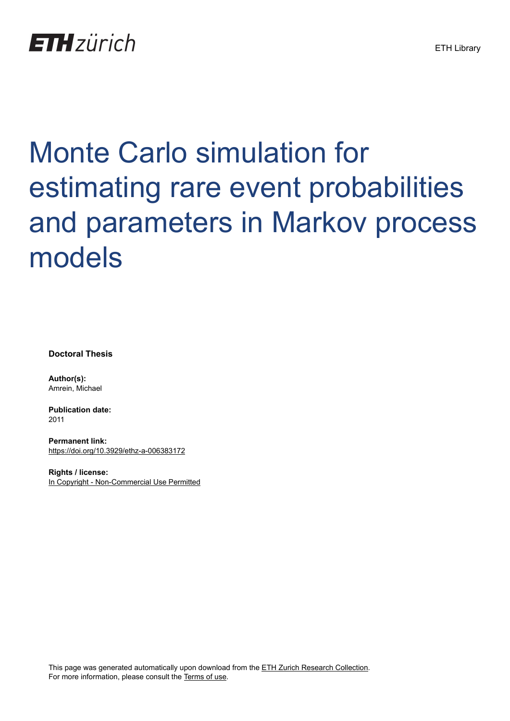# **ETH**zürich

# Monte Carlo simulation for estimating rare event probabilities and parameters in Markov process models

**Doctoral Thesis**

**Author(s):** Amrein, Michael

**Publication date:** 2011

**Permanent link:** <https://doi.org/10.3929/ethz-a-006383172>

**Rights / license:** [In Copyright - Non-Commercial Use Permitted](http://rightsstatements.org/page/InC-NC/1.0/)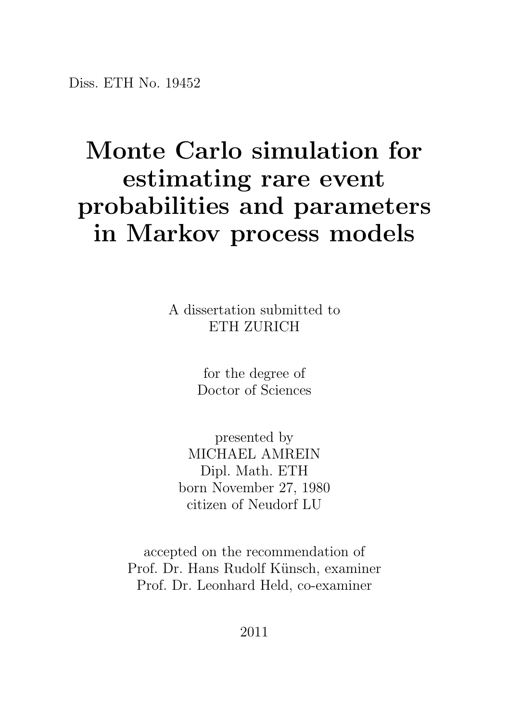#### Monte Carlo simulation for estimating rare event probabilities and parameters in Markov process models

A dissertation submitted to ETH ZURICH

> for the degree of Doctor of Sciences

presented by MICHAEL AMREIN Dipl. Math. ETH born November 27, 1980 citizen of Neudorf LU

accepted on the recommendation of Prof. Dr. Hans Rudolf Künsch, examiner Prof. Dr. Leonhard Held, co-examiner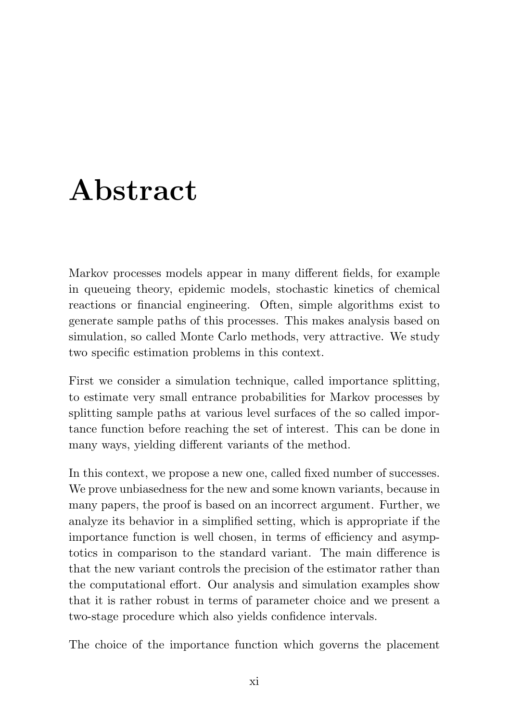### Abstract

Markov processes models appear in many different fields, for example in queueing theory, epidemic models, stochastic kinetics of chemical reactions or financial engineering. Often, simple algorithms exist to generate sample paths of this processes. This makes analysis based on simulation, so called Monte Carlo methods, very attractive. We study two specific estimation problems in this context.

First we consider a simulation technique, called importance splitting, to estimate very small entrance probabilities for Markov processes by splitting sample paths at various level surfaces of the so called importance function before reaching the set of interest. This can be done in many ways, yielding different variants of the method.

In this context, we propose a new one, called fixed number of successes. We prove unbiasedness for the new and some known variants, because in many papers, the proof is based on an incorrect argument. Further, we analyze its behavior in a simplified setting, which is appropriate if the importance function is well chosen, in terms of efficiency and asymptotics in comparison to the standard variant. The main difference is that the new variant controls the precision of the estimator rather than the computational effort. Our analysis and simulation examples show that it is rather robust in terms of parameter choice and we present a two-stage procedure which also yields confidence intervals.

The choice of the importance function which governs the placement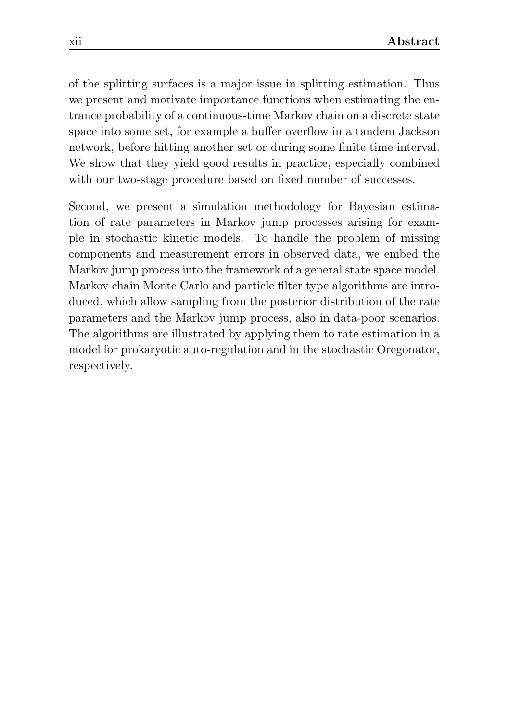of the splitting surfaces is a major issue in splitting estimation. Thus we present and motivate importance functions when estimating the entrance probability of a continuous-time Markov chain on a discrete state space into some set, for example a buffer overflow in a tandem Jackson network, before hitting another set or during some finite time interval. We show that they yield good results in practice, especially combined with our two-stage procedure based on fixed number of successes.

Second, we present a simulation methodology for Bayesian estimation of rate parameters in Markov jump processes arising for example in stochastic kinetic models. To handle the problem of missing components and measurement errors in observed data, we embed the Markov jump process into the framework of a general state space model. Markov chain Monte Carlo and particle filter type algorithms are introduced, which allow sampling from the posterior distribution of the rate parameters and the Markov jump process, also in data-poor scenarios. The algorithms are illustrated by applying them to rate estimation in a model for prokaryotic auto-regulation and in the stochastic Oregonator, respectively.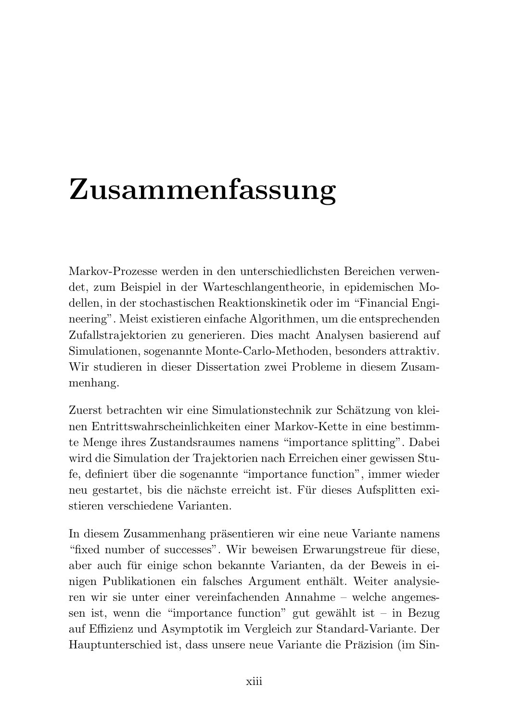## Zusammenfassung

Markov-Prozesse werden in den unterschiedlichsten Bereichen verwendet, zum Beispiel in der Warteschlangentheorie, in epidemischen Modellen, in der stochastischen Reaktionskinetik oder im "Financial Engineering". Meist existieren einfache Algorithmen, um die entsprechenden Zufallstrajektorien zu generieren. Dies macht Analysen basierend auf Simulationen, sogenannte Monte-Carlo-Methoden, besonders attraktiv. Wir studieren in dieser Dissertation zwei Probleme in diesem Zusammenhang.

Zuerst betrachten wir eine Simulationstechnik zur Schätzung von kleinen Entrittswahrscheinlichkeiten einer Markov-Kette in eine bestimmte Menge ihres Zustandsraumes namens "importance splitting". Dabei wird die Simulation der Trajektorien nach Erreichen einer gewissen Stufe, definiert über die sogenannte "importance function", immer wieder neu gestartet, bis die nächste erreicht ist. Für dieses Aufsplitten existieren verschiedene Varianten.

In diesem Zusammenhang präsentieren wir eine neue Variante namens "fixed number of successes". Wir beweisen Erwarungstreue für diese, aber auch für einige schon bekannte Varianten, da der Beweis in einigen Publikationen ein falsches Argument enthält. Weiter analysieren wir sie unter einer vereinfachenden Annahme – welche angemessen ist, wenn die "importance function" gut gewählt ist – in Bezug auf Effizienz und Asymptotik im Vergleich zur Standard-Variante. Der Hauptunterschied ist, dass unsere neue Variante die Präzision (im Sin